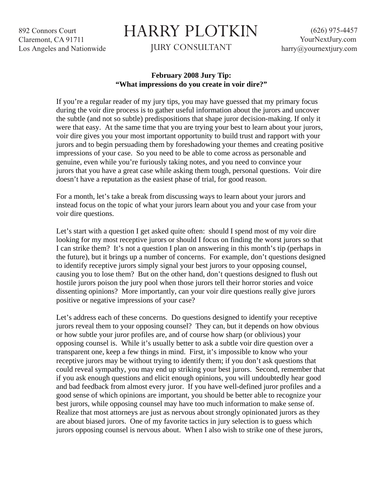892 Connors Court Claremont, CA 91711 Los Angeles and Nationwide

## HARRY PLOTKIN

JURY CONSULTANT

(626) 975-4457 YourNextJury.com harry@yournextjury.com

## **February 2008 Jury Tip: "What impressions do you create in voir dire?"**

If you're a regular reader of my jury tips, you may have guessed that my primary focus during the voir dire process is to gather useful information about the jurors and uncover the subtle (and not so subtle) predispositions that shape juror decision-making. If only it were that easy. At the same time that you are trying your best to learn about your jurors, voir dire gives you your most important opportunity to build trust and rapport with your jurors and to begin persuading them by foreshadowing your themes and creating positive impressions of your case. So you need to be able to come across as personable and genuine, even while you're furiously taking notes, and you need to convince your jurors that you have a great case while asking them tough, personal questions. Voir dire doesn't have a reputation as the easiest phase of trial, for good reason.

For a month, let's take a break from discussing ways to learn about your jurors and instead focus on the topic of what your jurors learn about you and your case from your voir dire questions.

Let's start with a question I get asked quite often: should I spend most of my voir dire looking for my most receptive jurors or should I focus on finding the worst jurors so that I can strike them? It's not a question I plan on answering in this month's tip (perhaps in the future), but it brings up a number of concerns. For example, don't questions designed to identify receptive jurors simply signal your best jurors to your opposing counsel, causing you to lose them? But on the other hand, don't questions designed to flush out hostile jurors poison the jury pool when those jurors tell their horror stories and voice dissenting opinions? More importantly, can your voir dire questions really give jurors positive or negative impressions of your case?

Let's address each of these concerns. Do questions designed to identify your receptive jurors reveal them to your opposing counsel? They can, but it depends on how obvious or how subtle your juror profiles are, and of course how sharp (or oblivious) your opposing counsel is. While it's usually better to ask a subtle voir dire question over a transparent one, keep a few things in mind. First, it's impossible to know who your receptive jurors may be without trying to identify them; if you don't ask questions that could reveal sympathy, you may end up striking your best jurors. Second, remember that if you ask enough questions and elicit enough opinions, you will undoubtedly hear good and bad feedback from almost every juror. If you have well-defined juror profiles and a good sense of which opinions are important, you should be better able to recognize your best jurors, while opposing counsel may have too much information to make sense of. Realize that most attorneys are just as nervous about strongly opinionated jurors as they are about biased jurors. One of my favorite tactics in jury selection is to guess which jurors opposing counsel is nervous about. When I also wish to strike one of these jurors,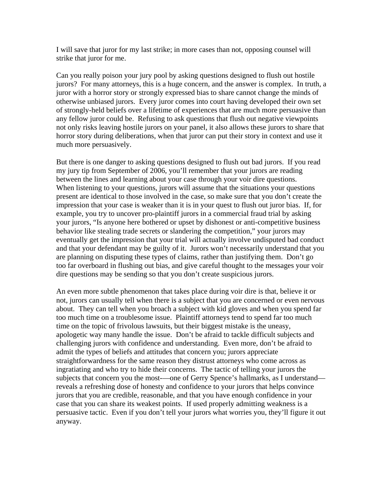I will save that juror for my last strike; in more cases than not, opposing counsel will strike that juror for me.

Can you really poison your jury pool by asking questions designed to flush out hostile jurors? For many attorneys, this is a huge concern, and the answer is complex. In truth, a juror with a horror story or strongly expressed bias to share cannot change the minds of otherwise unbiased jurors. Every juror comes into court having developed their own set of strongly-held beliefs over a lifetime of experiences that are much more persuasive than any fellow juror could be. Refusing to ask questions that flush out negative viewpoints not only risks leaving hostile jurors on your panel, it also allows these jurors to share that horror story during deliberations, when that juror can put their story in context and use it much more persuasively.

But there is one danger to asking questions designed to flush out bad jurors. If you read my jury tip from September of 2006, you'll remember that your jurors are reading between the lines and learning about your case through your voir dire questions. When listening to your questions, jurors will assume that the situations your questions present are identical to those involved in the case, so make sure that you don't create the impression that your case is weaker than it is in your quest to flush out juror bias. If, for example, you try to uncover pro-plaintiff jurors in a commercial fraud trial by asking your jurors, "Is anyone here bothered or upset by dishonest or anti-competitive business behavior like stealing trade secrets or slandering the competition," your jurors may eventually get the impression that your trial will actually involve undisputed bad conduct and that your defendant may be guilty of it. Jurors won't necessarily understand that you are planning on disputing these types of claims, rather than justifying them. Don't go too far overboard in flushing out bias, and give careful thought to the messages your voir dire questions may be sending so that you don't create suspicious jurors.

An even more subtle phenomenon that takes place during voir dire is that, believe it or not, jurors can usually tell when there is a subject that you are concerned or even nervous about. They can tell when you broach a subject with kid gloves and when you spend far too much time on a troublesome issue. Plaintiff attorneys tend to spend far too much time on the topic of frivolous lawsuits, but their biggest mistake is the uneasy, apologetic way many handle the issue. Don't be afraid to tackle difficult subjects and challenging jurors with confidence and understanding. Even more, don't be afraid to admit the types of beliefs and attitudes that concern you; jurors appreciate straightforwardness for the same reason they distrust attorneys who come across as ingratiating and who try to hide their concerns. The tactic of telling your jurors the subjects that concern you the most-—one of Gerry Spence's hallmarks, as I understand reveals a refreshing dose of honesty and confidence to your jurors that helps convince jurors that you are credible, reasonable, and that you have enough confidence in your case that you can share its weakest points. If used properly admitting weakness is a persuasive tactic. Even if you don't tell your jurors what worries you, they'll figure it out anyway.